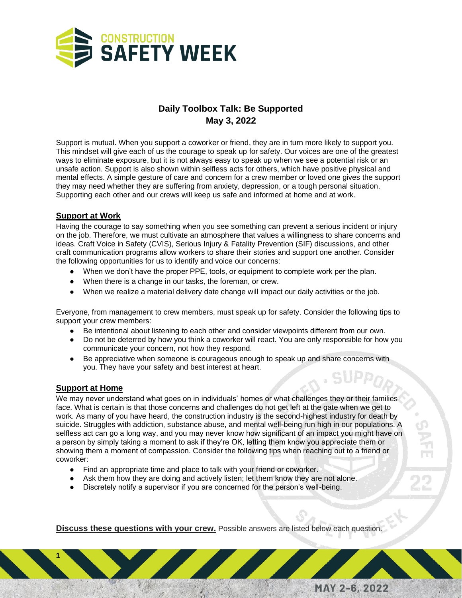

## **Daily Toolbox Talk: Be Supported May 3, 2022**

Support is mutual. When you support a coworker or friend, they are in turn more likely to support you. This mindset will give each of us the courage to speak up for safety. Our voices are one of the greatest ways to eliminate exposure, but it is not always easy to speak up when we see a potential risk or an unsafe action. Support is also shown within selfless acts for others, which have positive physical and mental effects. A simple gesture of care and concern for a crew member or loved one gives the support they may need whether they are suffering from anxiety, depression, or a tough personal situation. Supporting each other and our crews will keep us safe and informed at home and at work.

## **Support at Work**

Having the courage to say something when you see something can prevent a serious incident or injury on the job. Therefore, we must cultivate an atmosphere that values a willingness to share concerns and ideas. Craft Voice in Safety (CVIS), Serious Injury & Fatality Prevention (SIF) discussions, and other craft communication programs allow workers to share their stories and support one another. Consider the following opportunities for us to identify and voice our concerns:

- When we don't have the proper PPE, tools, or equipment to complete work per the plan.
- When there is a change in our tasks, the foreman, or crew.
- When we realize a material delivery date change will impact our daily activities or the job.

Everyone, from management to crew members, must speak up for safety. Consider the following tips to support your crew members:

- Be intentional about listening to each other and consider viewpoints different from our own.
- Do not be deterred by how you think a coworker will react. You are only responsible for how you communicate your concern, not how they respond.
- Be appreciative when someone is courageous enough to speak up and share concerns with you. They have your safety and best interest at heart.

## **Support at Home**

**1**

We may never understand what goes on in individuals' homes or what challenges they or their families face. What is certain is that those concerns and challenges do not get left at the gate when we get to work. As many of you have heard, the construction industry is the second-highest industry for death by suicide. Struggles with addiction, substance abuse, and mental well-being run high in our populations. A selfless act can go a long way, and you may never know how significant of an impact you might have on a person by simply taking a moment to ask if they're OK, letting them know you appreciate them or showing them a moment of compassion. Consider the following tips when reaching out to a friend or coworker:

- Find an appropriate time and place to talk with your friend or coworker.
- Ask them how they are doing and actively listen; let them know they are not alone.
- Discretely notify a supervisor if you are concerned for the person's well-being.

**Discuss these questions with your crew.** Possible answers are listed below each question.

MAY 2-6, 2022